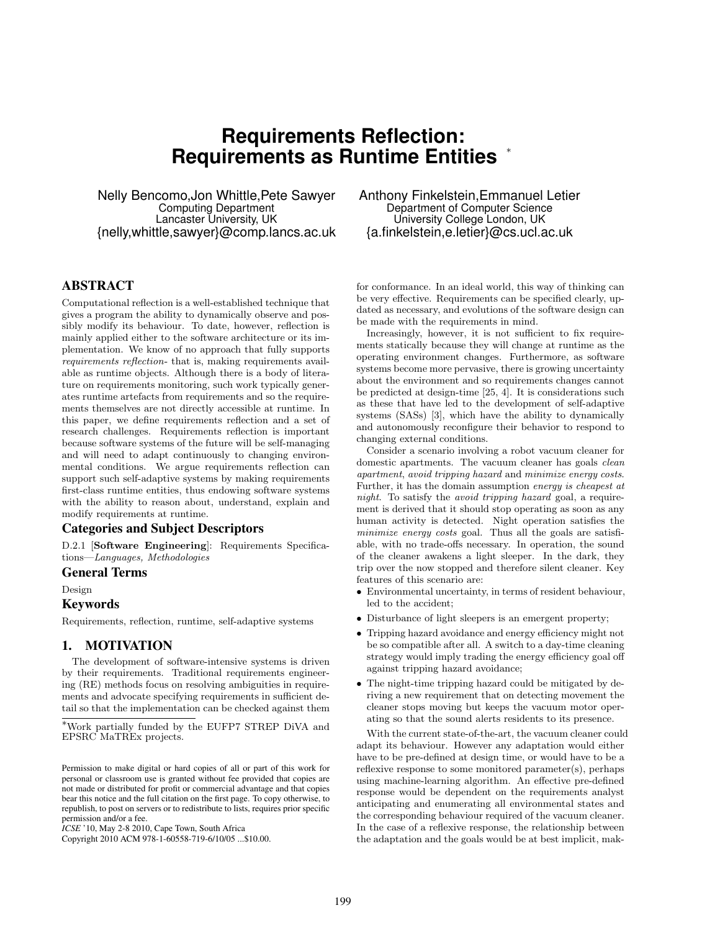# **Requirements Reflection: Requirements as Runtime Entities** <sup>∗</sup>

Nelly Bencomo,Jon Whittle,Pete Sawyer Computing Department Lancaster University, UK {nelly,whittle,sawyer}@comp.lancs.ac.uk

# ABSTRACT

Computational reflection is a well-established technique that gives a program the ability to dynamically observe and possibly modify its behaviour. To date, however, reflection is mainly applied either to the software architecture or its implementation. We know of no approach that fully supports requirements reflection- that is, making requirements available as runtime objects. Although there is a body of literature on requirements monitoring, such work typically generates runtime artefacts from requirements and so the requirements themselves are not directly accessible at runtime. In this paper, we define requirements reflection and a set of research challenges. Requirements reflection is important because software systems of the future will be self-managing and will need to adapt continuously to changing environmental conditions. We argue requirements reflection can support such self-adaptive systems by making requirements first-class runtime entities, thus endowing software systems with the ability to reason about, understand, explain and modify requirements at runtime.

### Categories and Subject Descriptors

D.2.1 [Software Engineering]: Requirements Specifications—Languages, Methodologies

# General Terms

Design

#### Keywords

Requirements, reflection, runtime, self-adaptive systems

# 1. MOTIVATION

The development of software-intensive systems is driven by their requirements. Traditional requirements engineering (RE) methods focus on resolving ambiguities in requirements and advocate specifying requirements in sufficient detail so that the implementation can be checked against them

Copyright 2010 ACM 978-1-60558-719-6/10/05 ...\$10.00.

Anthony Finkelstein,Emmanuel Letier Department of Computer Science University College London, UK {a.finkelstein,e.letier}@cs.ucl.ac.uk

for conformance. In an ideal world, this way of thinking can be very effective. Requirements can be specified clearly, updated as necessary, and evolutions of the software design can be made with the requirements in mind.

Increasingly, however, it is not sufficient to fix requirements statically because they will change at runtime as the operating environment changes. Furthermore, as software systems become more pervasive, there is growing uncertainty about the environment and so requirements changes cannot be predicted at design-time [25, 4]. It is considerations such as these that have led to the development of self-adaptive systems (SASs) [3], which have the ability to dynamically and autonomously reconfigure their behavior to respond to changing external conditions.

Consider a scenario involving a robot vacuum cleaner for domestic apartments. The vacuum cleaner has goals clean apartment, avoid tripping hazard and minimize energy costs. Further, it has the domain assumption energy is cheapest at night. To satisfy the avoid tripping hazard goal, a requirement is derived that it should stop operating as soon as any human activity is detected. Night operation satisfies the minimize energy costs goal. Thus all the goals are satisfiable, with no trade-offs necessary. In operation, the sound of the cleaner awakens a light sleeper. In the dark, they trip over the now stopped and therefore silent cleaner. Key features of this scenario are:

- Environmental uncertainty, in terms of resident behaviour, led to the accident;
- Disturbance of light sleepers is an emergent property;
- Tripping hazard avoidance and energy efficiency might not be so compatible after all. A switch to a day-time cleaning strategy would imply trading the energy efficiency goal off against tripping hazard avoidance;
- The night-time tripping hazard could be mitigated by deriving a new requirement that on detecting movement the cleaner stops moving but keeps the vacuum motor operating so that the sound alerts residents to its presence.

With the current state-of-the-art, the vacuum cleaner could adapt its behaviour. However any adaptation would either have to be pre-defined at design time, or would have to be a reflexive response to some monitored parameter(s), perhaps using machine-learning algorithm. An effective pre-defined response would be dependent on the requirements analyst anticipating and enumerating all environmental states and the corresponding behaviour required of the vacuum cleaner. In the case of a reflexive response, the relationship between the adaptation and the goals would be at best implicit, mak-

<sup>∗</sup>Work partially funded by the EUFP7 STREP DiVA and EPSRC MaTREx projects.

Permission to make digital or hard copies of all or part of this work for personal or classroom use is granted without fee provided that copies are not made or distributed for profit or commercial advantage and that copies bear this notice and the full citation on the first page. To copy otherwise, to republish, to post on servers or to redistribute to lists, requires prior specific permission and/or a fee.

*ICSE* '10, May 2-8 2010, Cape Town, South Africa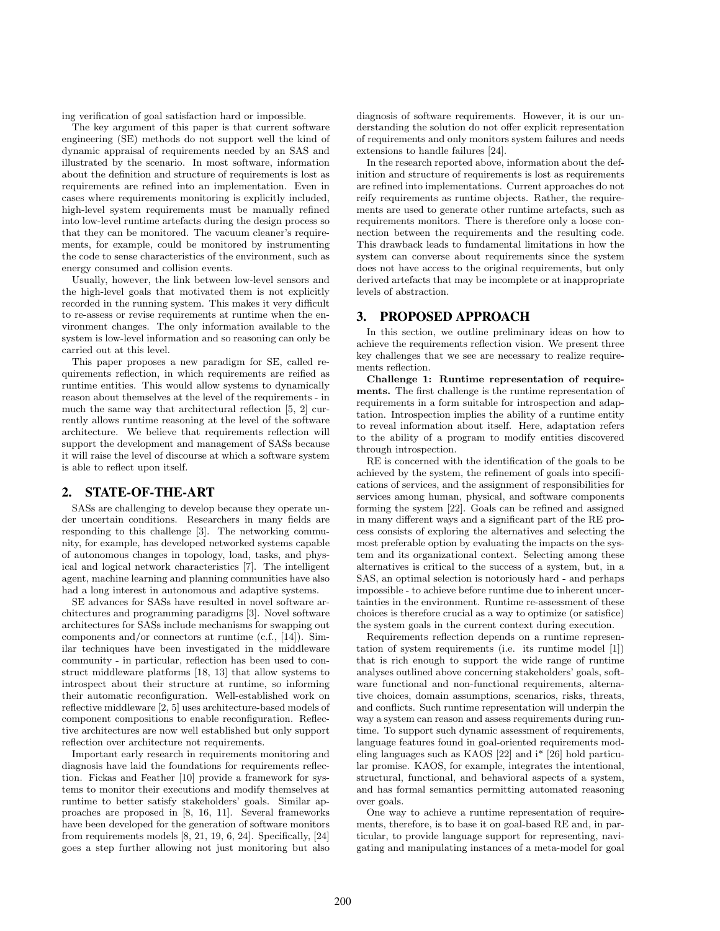ing verification of goal satisfaction hard or impossible.

The key argument of this paper is that current software engineering (SE) methods do not support well the kind of dynamic appraisal of requirements needed by an SAS and illustrated by the scenario. In most software, information about the definition and structure of requirements is lost as requirements are refined into an implementation. Even in cases where requirements monitoring is explicitly included, high-level system requirements must be manually refined into low-level runtime artefacts during the design process so that they can be monitored. The vacuum cleaner's requirements, for example, could be monitored by instrumenting the code to sense characteristics of the environment, such as energy consumed and collision events.

Usually, however, the link between low-level sensors and the high-level goals that motivated them is not explicitly recorded in the running system. This makes it very difficult to re-assess or revise requirements at runtime when the environment changes. The only information available to the system is low-level information and so reasoning can only be carried out at this level.

This paper proposes a new paradigm for SE, called requirements reflection, in which requirements are reified as runtime entities. This would allow systems to dynamically reason about themselves at the level of the requirements - in much the same way that architectural reflection [5, 2] currently allows runtime reasoning at the level of the software architecture. We believe that requirements reflection will support the development and management of SASs because it will raise the level of discourse at which a software system is able to reflect upon itself.

#### 2. STATE-OF-THE-ART

SASs are challenging to develop because they operate under uncertain conditions. Researchers in many fields are responding to this challenge [3]. The networking community, for example, has developed networked systems capable of autonomous changes in topology, load, tasks, and physical and logical network characteristics [7]. The intelligent agent, machine learning and planning communities have also had a long interest in autonomous and adaptive systems.

SE advances for SASs have resulted in novel software architectures and programming paradigms [3]. Novel software architectures for SASs include mechanisms for swapping out components and/or connectors at runtime (c.f., [14]). Similar techniques have been investigated in the middleware community - in particular, reflection has been used to construct middleware platforms [18, 13] that allow systems to introspect about their structure at runtime, so informing their automatic reconfiguration. Well-established work on reflective middleware [2, 5] uses architecture-based models of component compositions to enable reconfiguration. Reflective architectures are now well established but only support reflection over architecture not requirements.

Important early research in requirements monitoring and diagnosis have laid the foundations for requirements reflection. Fickas and Feather [10] provide a framework for systems to monitor their executions and modify themselves at runtime to better satisfy stakeholders' goals. Similar approaches are proposed in [8, 16, 11]. Several frameworks have been developed for the generation of software monitors from requirements models  $[8, 21, 19, 6, 24]$ . Specifically,  $[24]$ goes a step further allowing not just monitoring but also

diagnosis of software requirements. However, it is our understanding the solution do not offer explicit representation of requirements and only monitors system failures and needs extensions to handle failures [24].

In the research reported above, information about the definition and structure of requirements is lost as requirements are refined into implementations. Current approaches do not reify requirements as runtime objects. Rather, the requirements are used to generate other runtime artefacts, such as requirements monitors. There is therefore only a loose connection between the requirements and the resulting code. This drawback leads to fundamental limitations in how the system can converse about requirements since the system does not have access to the original requirements, but only derived artefacts that may be incomplete or at inappropriate levels of abstraction.

## 3. PROPOSED APPROACH

In this section, we outline preliminary ideas on how to achieve the requirements reflection vision. We present three key challenges that we see are necessary to realize requirements reflection.

Challenge 1: Runtime representation of requirements. The first challenge is the runtime representation of requirements in a form suitable for introspection and adaptation. Introspection implies the ability of a runtime entity to reveal information about itself. Here, adaptation refers to the ability of a program to modify entities discovered through introspection.

RE is concerned with the identification of the goals to be achieved by the system, the refinement of goals into specifications of services, and the assignment of responsibilities for services among human, physical, and software components forming the system [22]. Goals can be refined and assigned in many different ways and a significant part of the RE process consists of exploring the alternatives and selecting the most preferable option by evaluating the impacts on the system and its organizational context. Selecting among these alternatives is critical to the success of a system, but, in a SAS, an optimal selection is notoriously hard - and perhaps impossible - to achieve before runtime due to inherent uncertainties in the environment. Runtime re-assessment of these choices is therefore crucial as a way to optimize (or satisfice) the system goals in the current context during execution.

Requirements reflection depends on a runtime representation of system requirements (i.e. its runtime model [1]) that is rich enough to support the wide range of runtime analyses outlined above concerning stakeholders' goals, software functional and non-functional requirements, alternative choices, domain assumptions, scenarios, risks, threats, and conflicts. Such runtime representation will underpin the way a system can reason and assess requirements during runtime. To support such dynamic assessment of requirements, language features found in goal-oriented requirements modeling languages such as KAOS [22] and i\* [26] hold particular promise. KAOS, for example, integrates the intentional, structural, functional, and behavioral aspects of a system, and has formal semantics permitting automated reasoning over goals.

One way to achieve a runtime representation of requirements, therefore, is to base it on goal-based RE and, in particular, to provide language support for representing, navigating and manipulating instances of a meta-model for goal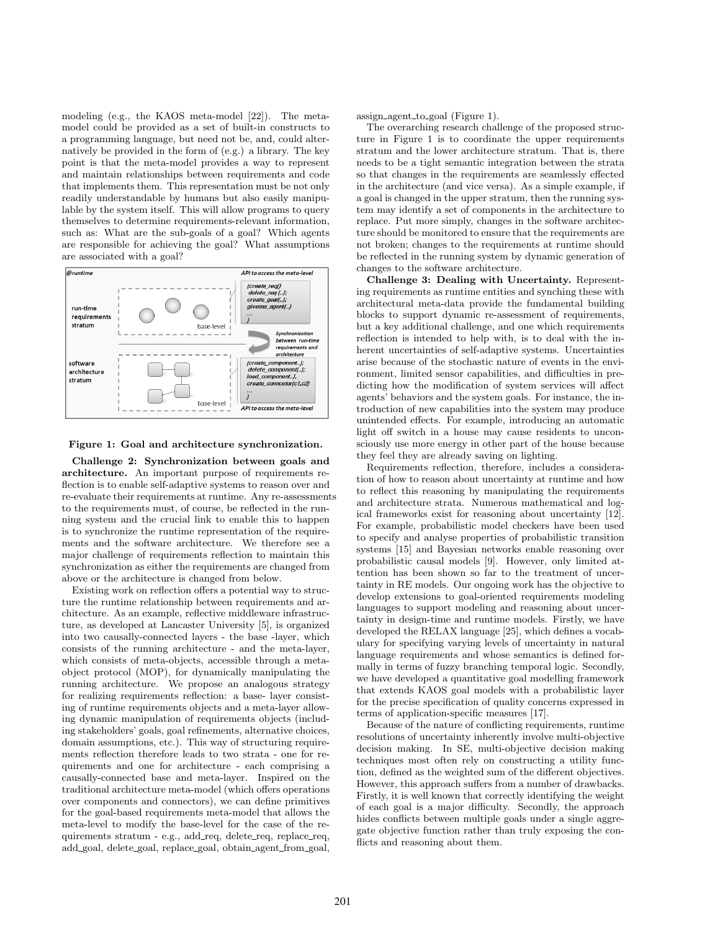modeling (e.g., the KAOS meta-model [22]). The metamodel could be provided as a set of built-in constructs to a programming language, but need not be, and, could alternatively be provided in the form of (e.g.) a library. The key point is that the meta-model provides a way to represent and maintain relationships between requirements and code that implements them. This representation must be not only readily understandable by humans but also easily manipulable by the system itself. This will allow programs to query themselves to determine requirements-relevant information, such as: What are the sub-goals of a goal? Which agents are responsible for achieving the goal? What assumptions are associated with a goal?



Figure 1: Goal and architecture synchronization.

Challenge 2: Synchronization between goals and architecture. An important purpose of requirements reflection is to enable self-adaptive systems to reason over and re-evaluate their requirements at runtime. Any re-assessments to the requirements must, of course, be reflected in the running system and the crucial link to enable this to happen is to synchronize the runtime representation of the requirements and the software architecture. We therefore see a major challenge of requirements reflection to maintain this synchronization as either the requirements are changed from above or the architecture is changed from below.

Existing work on reflection offers a potential way to structure the runtime relationship between requirements and architecture. As an example, reflective middleware infrastructure, as developed at Lancaster University [5], is organized into two causally-connected layers - the base -layer, which consists of the running architecture - and the meta-layer, which consists of meta-objects, accessible through a metaobject protocol (MOP), for dynamically manipulating the running architecture. We propose an analogous strategy for realizing requirements reflection: a base- layer consisting of runtime requirements objects and a meta-layer allowing dynamic manipulation of requirements objects (including stakeholders' goals, goal refinements, alternative choices, domain assumptions, etc.). This way of structuring requirements reflection therefore leads to two strata - one for requirements and one for architecture - each comprising a causally-connected base and meta-layer. Inspired on the traditional architecture meta-model (which offers operations over components and connectors), we can define primitives for the goal-based requirements meta-model that allows the meta-level to modify the base-level for the case of the requirements stratum - e.g., add\_req, delete\_req, replace\_req, add goal, delete goal, replace goal, obtain agent from goal,

assign agent to goal (Figure 1).

The overarching research challenge of the proposed structure in Figure 1 is to coordinate the upper requirements stratum and the lower architecture stratum. That is, there needs to be a tight semantic integration between the strata so that changes in the requirements are seamlessly effected in the architecture (and vice versa). As a simple example, if a goal is changed in the upper stratum, then the running system may identify a set of components in the architecture to replace. Put more simply, changes in the software architecture should be monitored to ensure that the requirements are not broken; changes to the requirements at runtime should be reflected in the running system by dynamic generation of changes to the software architecture.

Challenge 3: Dealing with Uncertainty. Representing requirements as runtime entities and synching these with architectural meta-data provide the fundamental building blocks to support dynamic re-assessment of requirements, but a key additional challenge, and one which requirements reflection is intended to help with, is to deal with the inherent uncertainties of self-adaptive systems. Uncertainties arise because of the stochastic nature of events in the environment, limited sensor capabilities, and difficulties in predicting how the modification of system services will affect agents' behaviors and the system goals. For instance, the introduction of new capabilities into the system may produce unintended effects. For example, introducing an automatic light off switch in a house may cause residents to unconsciously use more energy in other part of the house because they feel they are already saving on lighting.

Requirements reflection, therefore, includes a consideration of how to reason about uncertainty at runtime and how to reflect this reasoning by manipulating the requirements and architecture strata. Numerous mathematical and logical frameworks exist for reasoning about uncertainty [12]. For example, probabilistic model checkers have been used to specify and analyse properties of probabilistic transition systems [15] and Bayesian networks enable reasoning over probabilistic causal models [9]. However, only limited attention has been shown so far to the treatment of uncertainty in RE models. Our ongoing work has the objective to develop extensions to goal-oriented requirements modeling languages to support modeling and reasoning about uncertainty in design-time and runtime models. Firstly, we have developed the RELAX language [25], which defines a vocabulary for specifying varying levels of uncertainty in natural language requirements and whose semantics is defined formally in terms of fuzzy branching temporal logic. Secondly, we have developed a quantitative goal modelling framework that extends KAOS goal models with a probabilistic layer for the precise specification of quality concerns expressed in terms of application-specific measures [17].

Because of the nature of conflicting requirements, runtime resolutions of uncertainty inherently involve multi-objective decision making. In SE, multi-objective decision making techniques most often rely on constructing a utility function, defined as the weighted sum of the different objectives. However, this approach suffers from a number of drawbacks. Firstly, it is well known that correctly identifying the weight of each goal is a major difficulty. Secondly, the approach hides conflicts between multiple goals under a single aggregate objective function rather than truly exposing the conflicts and reasoning about them.